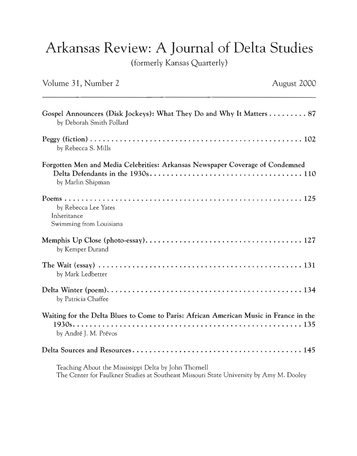## Arkansas Review: A Journal of Delta Studies

( formerly Kansas Quarterly)

| Volume 31, Number 2                                                                                            | August 2000 |
|----------------------------------------------------------------------------------------------------------------|-------------|
| Gospel Announcers (Disk Jockeys): What They Do and Why It Matters 87<br>by Deborah Smith Pollard               |             |
| by Rebecca S. Mills                                                                                            |             |
| Forgotten Men and Media Celebrities: Arkansas Newspaper Coverage of Condemned<br>by Marlin Shipman             |             |
| by Rebecca Lee Yates<br>Inheritance<br>Swimming from Louisiana                                                 |             |
| by Kemper Durand                                                                                               |             |
| by Mark Ledbetter                                                                                              |             |
| by Patricia Chaffee                                                                                            |             |
| Waiting for the Delta Blues to Come to Paris: African American Music in France in the<br>by André J. M. Prévos |             |
|                                                                                                                |             |
| Teaching About the Mississippi Delta by John Thornell                                                          |             |

The Center for Faulkner Studies at Southeast Missouri State University by Amy M. Dooley